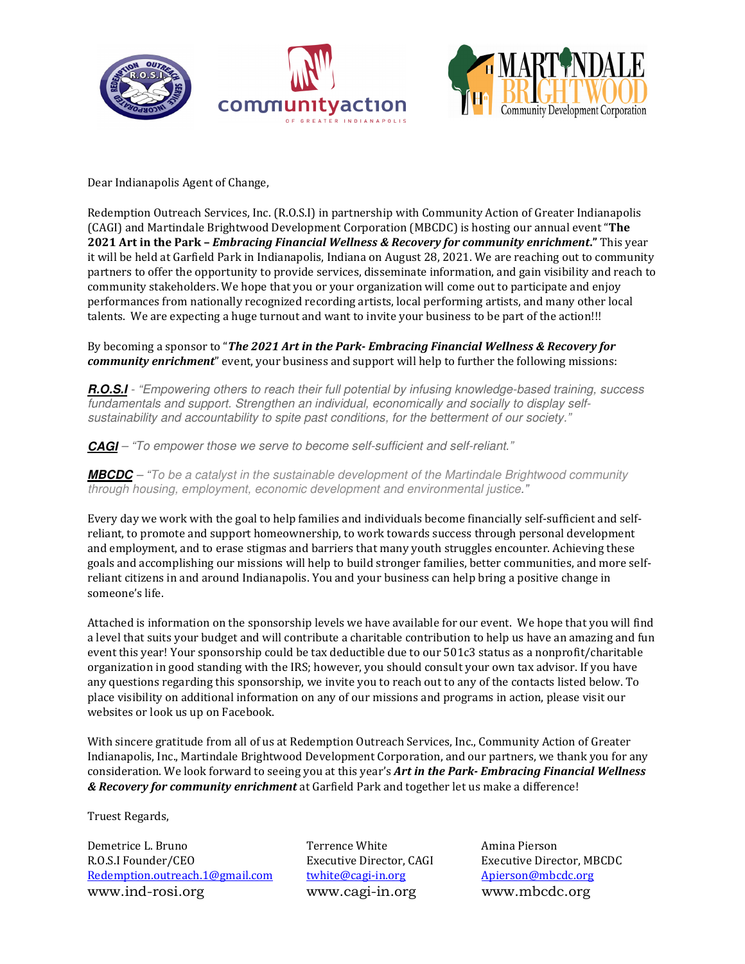





Dear Indianapolis Agent of Change,

Redemption Outreach Services, Inc. (R.O.S.I) in partnership with Community Action of Greater Indianapolis (CAGI) and Martindale Brightwood Development Corporation (MBCDC) is hosting our annual event "**The 2021 Art in the Park –** *Embracing Financial Wellness & Recovery for community enrichment***."** This year it will be held at Garfield Park in Indianapolis, Indiana on August 28, 2021. We are reaching out to community partners to offer the opportunity to provide services, disseminate information, and gain visibility and reach to community stakeholders. We hope that you or your organization will come out to participate and enjoy performances from nationally recognized recording artists, local performing artists, and many other local talents. We are expecting a huge turnout and want to invite your business to be part of the action!!!

By becoming a sponsor to "*The 2021 Art in the Park- Embracing Financial Wellness & Recovery for community enrichment*" event, your business and support will help to further the following missions:

**R.O.S.I** - "Empowering others to reach their full potential by infusing knowledge-based training, success fundamentals and support. Strengthen an individual, economically and socially to display selfsustainability and accountability to spite past conditions, for the betterment of our society."

**CAGI** – "To empower those we serve to become self-sufficient and self-reliant."

**MBCDC** – "To be a catalyst in the sustainable development of the Martindale Brightwood community through housing, employment, economic development and environmental justice."

Every day we work with the goal to help families and individuals become financially self-sufficient and selfreliant, to promote and support homeownership, to work towards success through personal development and employment, and to erase stigmas and barriers that many youth struggles encounter. Achieving these goals and accomplishing our missions will help to build stronger families, better communities, and more selfreliant citizens in and around Indianapolis. You and your business can help bring a positive change in someone's life.

Attached is information on the sponsorship levels we have available for our event. We hope that you will find a level that suits your budget and will contribute a charitable contribution to help us have an amazing and fun event this year! Your sponsorship could be tax deductible due to our 501c3 status as a nonprofit/charitable organization in good standing with the IRS; however, you should consult your own tax advisor. If you have any questions regarding this sponsorship, we invite you to reach out to any of the contacts listed below. To place visibility on additional information on any of our missions and programs in action, please visit our websites or look us up on Facebook.

With sincere gratitude from all of us at Redemption Outreach Services, Inc., Community Action of Greater Indianapolis, Inc., Martindale Brightwood Development Corporation, and our partners, we thank you for any consideration. We look forward to seeing you at this year's *Art in the Park- Embracing Financial Wellness & Recovery for community enrichment* at Garfield Park and together let us make a difference!

Truest Regards,

Demetrice L. Bruno Terrence White Amina Pierson R.O.S.I Founder/CEO Executive Director, CAGI Executive Director, MBCDC Redemption.outreach.1@gmail.com twhite@cagi-in.org Apierson@mbcdc.org www.ind-rosi.org www.cagi-in.org www.mbcdc.org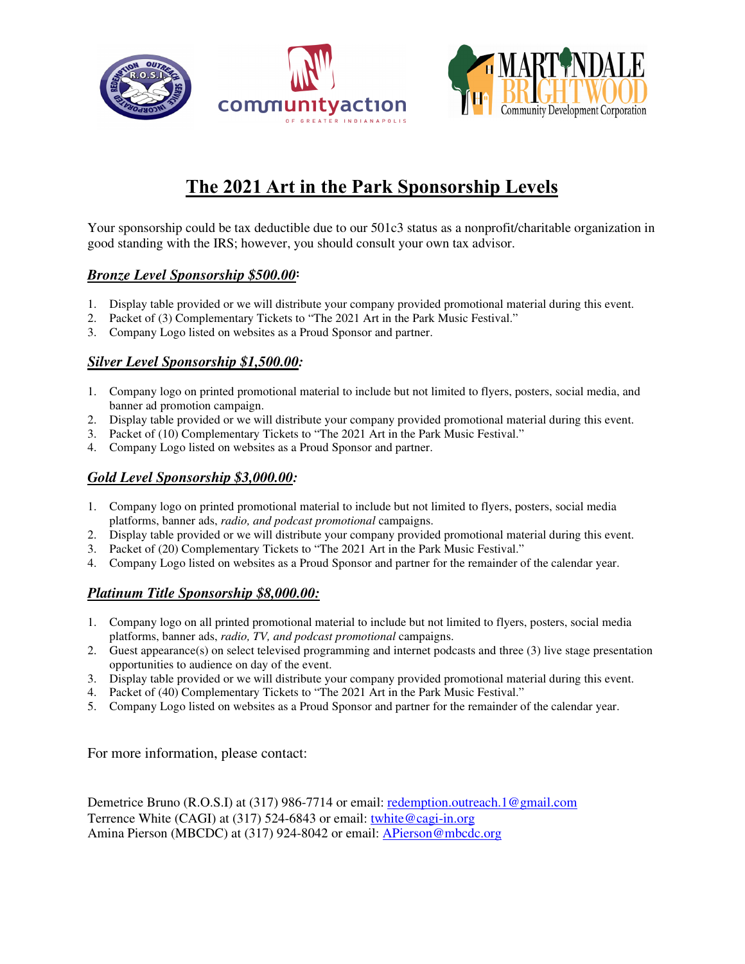





# **The 2021 Art in the Park Sponsorship Levels**

Your sponsorship could be tax deductible due to our 501c3 status as a nonprofit/charitable organization in good standing with the IRS; however, you should consult your own tax advisor.

# *Bronze Level Sponsorship \$500.00***:**

- 1. Display table provided or we will distribute your company provided promotional material during this event.
- 2. Packet of (3) Complementary Tickets to "The 2021 Art in the Park Music Festival."
- 3. Company Logo listed on websites as a Proud Sponsor and partner.

## *Silver Level Sponsorship \$1,500.00:*

- 1. Company logo on printed promotional material to include but not limited to flyers, posters, social media, and banner ad promotion campaign.
- 2. Display table provided or we will distribute your company provided promotional material during this event.
- 3. Packet of (10) Complementary Tickets to "The 2021 Art in the Park Music Festival."
- 4. Company Logo listed on websites as a Proud Sponsor and partner.

# *Gold Level Sponsorship \$3,000.00:*

- 1. Company logo on printed promotional material to include but not limited to flyers, posters, social media platforms, banner ads, *radio, and podcast promotional* campaigns.
- 2. Display table provided or we will distribute your company provided promotional material during this event.
- 3. Packet of (20) Complementary Tickets to "The 2021 Art in the Park Music Festival."
- 4. Company Logo listed on websites as a Proud Sponsor and partner for the remainder of the calendar year.

## *Platinum Title Sponsorship \$8,000.00:*

- 1. Company logo on all printed promotional material to include but not limited to flyers, posters, social media platforms, banner ads, *radio, TV, and podcast promotional* campaigns.
- 2. Guest appearance(s) on select televised programming and internet podcasts and three (3) live stage presentation opportunities to audience on day of the event.
- 3. Display table provided or we will distribute your company provided promotional material during this event.
- 4. Packet of (40) Complementary Tickets to "The 2021 Art in the Park Music Festival."
- 5. Company Logo listed on websites as a Proud Sponsor and partner for the remainder of the calendar year.

For more information, please contact:

Demetrice Bruno (R.O.S.I) at (317) 986-7714 or email: <u>redemption.outreach.1@gmail.com</u> Terrence White (CAGI) at (317) 524-6843 or email: twhite@cagi-in.org Amina Pierson (MBCDC) at (317) 924-8042 or email: APierson@mbcdc.org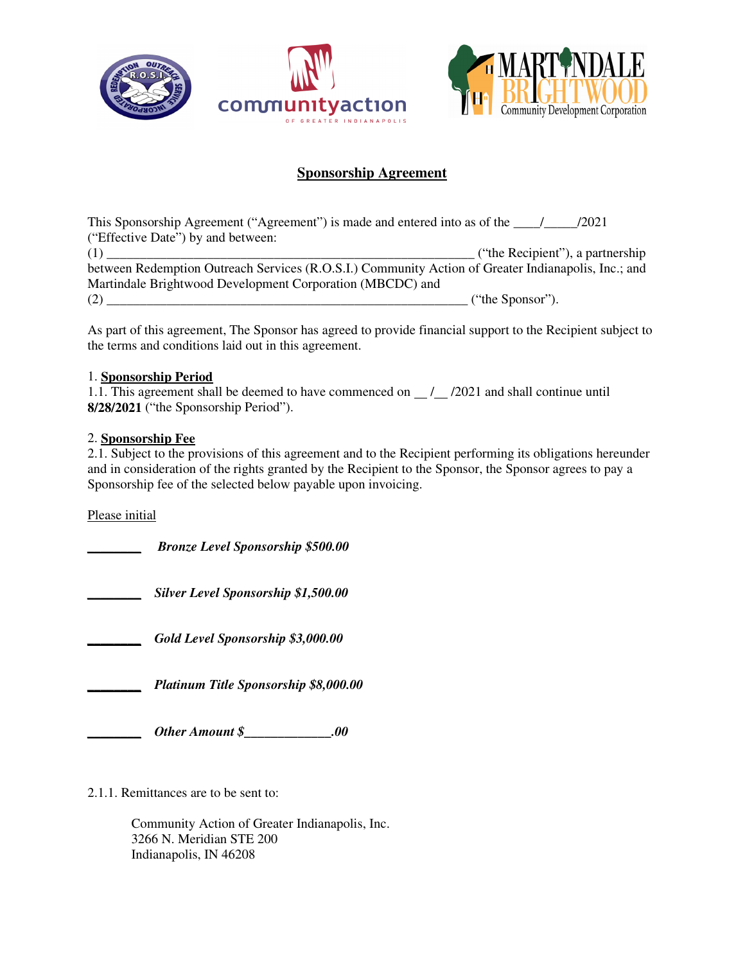





# **Sponsorship Agreement**

This Sponsorship Agreement ("Agreement") is made and entered into as of the  $\frac{1}{2021}$ ("Effective Date") by and between:  $(1)$   $($   $($   $)$   $($   $)$   $)$   $($   $)$   $)$   $($   $)$   $($   $)$   $)$   $($   $)$   $($   $)$   $)$   $($   $)$   $)$   $($   $)$   $)$   $($   $)$   $)$   $($   $)$   $)$   $($   $)$   $)$   $($   $)$   $)$   $($   $)$   $)$   $($   $)$   $)$   $($   $)$   $)$   $($   $)$   $)$   $($   $)$   $)$   $($   $)$ between Redemption Outreach Services (R.O.S.I.) Community Action of Greater Indianapolis, Inc.; and Martindale Brightwood Development Corporation (MBCDC) and (2) \_\_\_\_\_\_\_\_\_\_\_\_\_\_\_\_\_\_\_\_\_\_\_\_\_\_\_\_\_\_\_\_\_\_\_\_\_\_\_\_\_\_\_\_\_\_\_\_\_\_\_\_\_\_ ("the Sponsor").

As part of this agreement, The Sponsor has agreed to provide financial support to the Recipient subject to the terms and conditions laid out in this agreement.

#### 1. **Sponsorship Period**

1.1. This agreement shall be deemed to have commenced on  $\frac{1}{2021}$  and shall continue until **8/28/2021** ("the Sponsorship Period").

#### 2. **Sponsorship Fee**

2.1. Subject to the provisions of this agreement and to the Recipient performing its obligations hereunder and in consideration of the rights granted by the Recipient to the Sponsor, the Sponsor agrees to pay a Sponsorship fee of the selected below payable upon invoicing.

Please initial

*\_\_\_\_\_\_\_\_ Bronze Level Sponsorship \$500.00*

*\_\_\_\_\_\_\_\_ Silver Level Sponsorship \$1,500.00*

*\_\_\_\_\_\_\_\_ Gold Level Sponsorship \$3,000.00*

*\_\_\_\_\_\_\_\_ Platinum Title Sponsorship \$8,000.00* 

*Other Amount \$\_\_\_\_\_\_\_\_\_\_\_\_\_\_\_\_\_.00* 

2.1.1. Remittances are to be sent to:

Community Action of Greater Indianapolis, Inc. 3266 N. Meridian STE 200 Indianapolis, IN 46208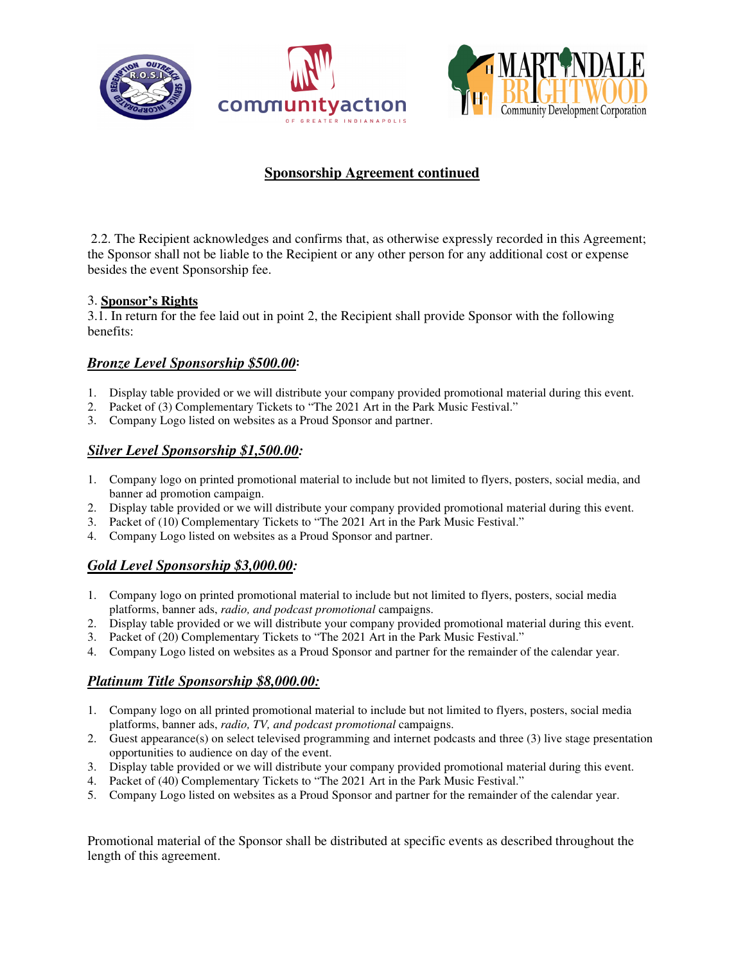





## **Sponsorship Agreement continued**

 2.2. The Recipient acknowledges and confirms that, as otherwise expressly recorded in this Agreement; the Sponsor shall not be liable to the Recipient or any other person for any additional cost or expense besides the event Sponsorship fee.

#### 3. **Sponsor's Rights**

3.1. In return for the fee laid out in point 2, the Recipient shall provide Sponsor with the following benefits:

## *Bronze Level Sponsorship \$500.00***:**

- 1. Display table provided or we will distribute your company provided promotional material during this event.
- 2. Packet of (3) Complementary Tickets to "The 2021 Art in the Park Music Festival."
- 3. Company Logo listed on websites as a Proud Sponsor and partner.

#### *Silver Level Sponsorship \$1,500.00:*

- 1. Company logo on printed promotional material to include but not limited to flyers, posters, social media, and banner ad promotion campaign.
- 2. Display table provided or we will distribute your company provided promotional material during this event.
- 3. Packet of (10) Complementary Tickets to "The 2021 Art in the Park Music Festival."
- 4. Company Logo listed on websites as a Proud Sponsor and partner.

## *Gold Level Sponsorship \$3,000.00:*

- 1. Company logo on printed promotional material to include but not limited to flyers, posters, social media platforms, banner ads, *radio, and podcast promotional* campaigns.
- 2. Display table provided or we will distribute your company provided promotional material during this event.
- 3. Packet of (20) Complementary Tickets to "The 2021 Art in the Park Music Festival."
- 4. Company Logo listed on websites as a Proud Sponsor and partner for the remainder of the calendar year.

#### *Platinum Title Sponsorship \$8,000.00:*

- 1. Company logo on all printed promotional material to include but not limited to flyers, posters, social media platforms, banner ads, *radio, TV, and podcast promotional* campaigns.
- 2. Guest appearance(s) on select televised programming and internet podcasts and three (3) live stage presentation opportunities to audience on day of the event.
- 3. Display table provided or we will distribute your company provided promotional material during this event.
- 4. Packet of (40) Complementary Tickets to "The 2021 Art in the Park Music Festival."
- 5. Company Logo listed on websites as a Proud Sponsor and partner for the remainder of the calendar year.

Promotional material of the Sponsor shall be distributed at specific events as described throughout the length of this agreement.